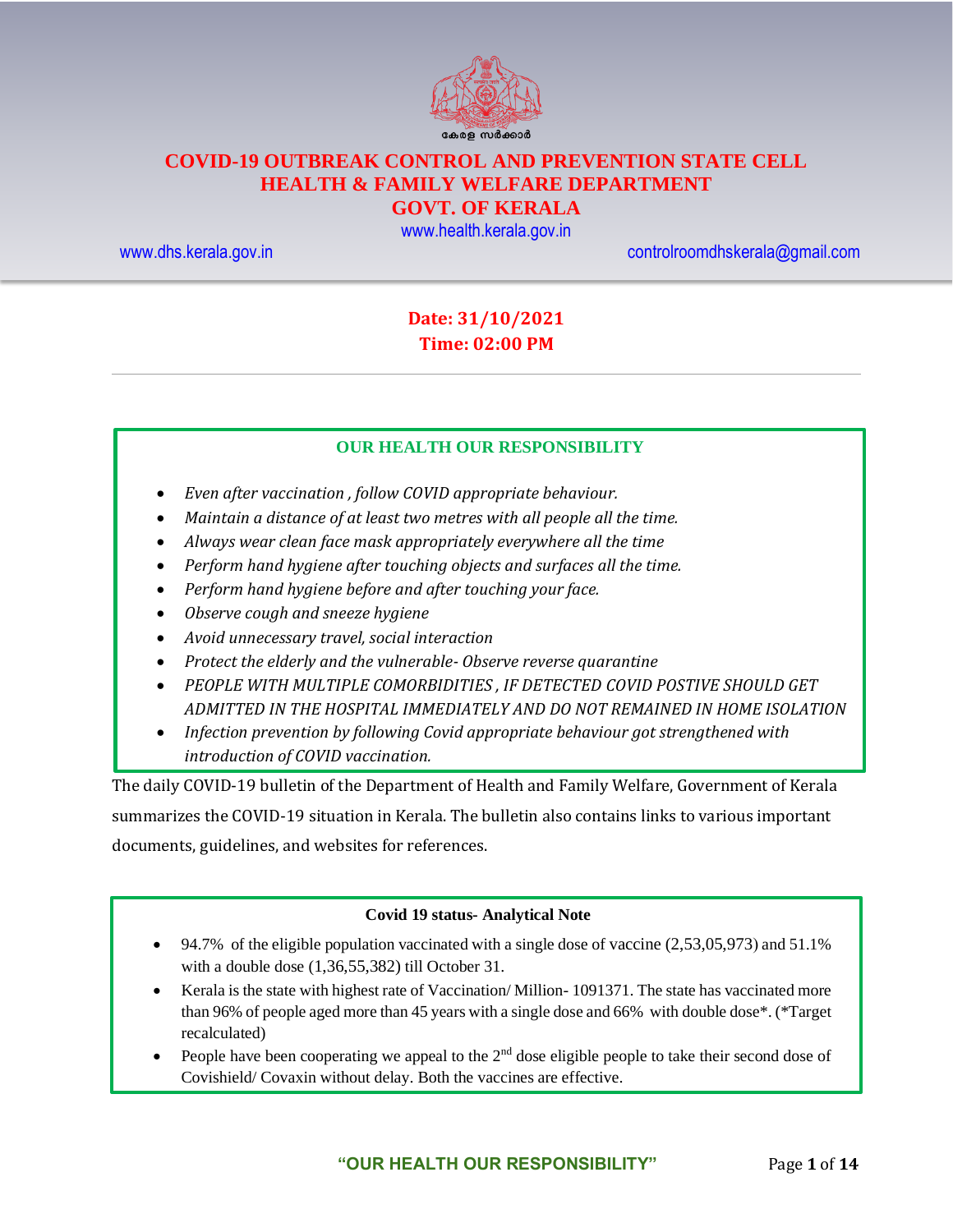

# **COVID-19 OUTBREAK CONTROL AND PREVENTION STATE CELL HEALTH & FAMILY WELFARE DEPARTMENT**

### **GOVT. OF KERALA**

[www.health.kerala.gov.in](file:///D:/My%20Documents/Mahesh%20-%20Dont%20Delete/Assistant%20Surgeon/Aardram%20Mission/Projects/COVID%20Control%20Room/Bulletin%20Format%20New/www.health.kerala.gov.in)

[www.dhs.kerala.gov.in](http://www.dhs.kerala.gov.in/) [controlroomdhskerala@gmail.com](mailto:controlroomdhskerala@gmail.com)

## **Date: 31/10/2021 Time: 02:00 PM**

#### **OUR HEALTH OUR RESPONSIBILITY**

- *Even after vaccination , follow COVID appropriate behaviour.*
- *Maintain a distance of at least two metres with all people all the time.*
- *Always wear clean face mask appropriately everywhere all the time*
- *Perform hand hygiene after touching objects and surfaces all the time.*
- *Perform hand hygiene before and after touching your face.*
- *Observe cough and sneeze hygiene*
- *Avoid unnecessary travel, social interaction*
- *Protect the elderly and the vulnerable- Observe reverse quarantine*
- *PEOPLE WITH MULTIPLE COMORBIDITIES , IF DETECTED COVID POSTIVE SHOULD GET ADMITTED IN THE HOSPITAL IMMEDIATELY AND DO NOT REMAINED IN HOME ISOLATION*
- *Infection prevention by following Covid appropriate behaviour got strengthened with introduction of COVID vaccination.*

The daily COVID-19 bulletin of the Department of Health and Family Welfare, Government of Kerala summarizes the COVID-19 situation in Kerala. The bulletin also contains links to various important documents, guidelines, and websites for references.

#### **Covid 19 status- Analytical Note**

- 94.7% of the eligible population vaccinated with a single dose of vaccine  $(2,53,05,973)$  and  $51.1\%$ with a double dose (1,36,55,382) till October 31.
- Kerala is the state with highest rate of Vaccination/ Million- 1091371. The state has vaccinated more than 96% of people aged more than 45 years with a single dose and 66% with double dose\*. (\*Target recalculated)
- People have been cooperating we appeal to the 2<sup>nd</sup> dose eligible people to take their second dose of Covishield/ Covaxin without delay. Both the vaccines are effective.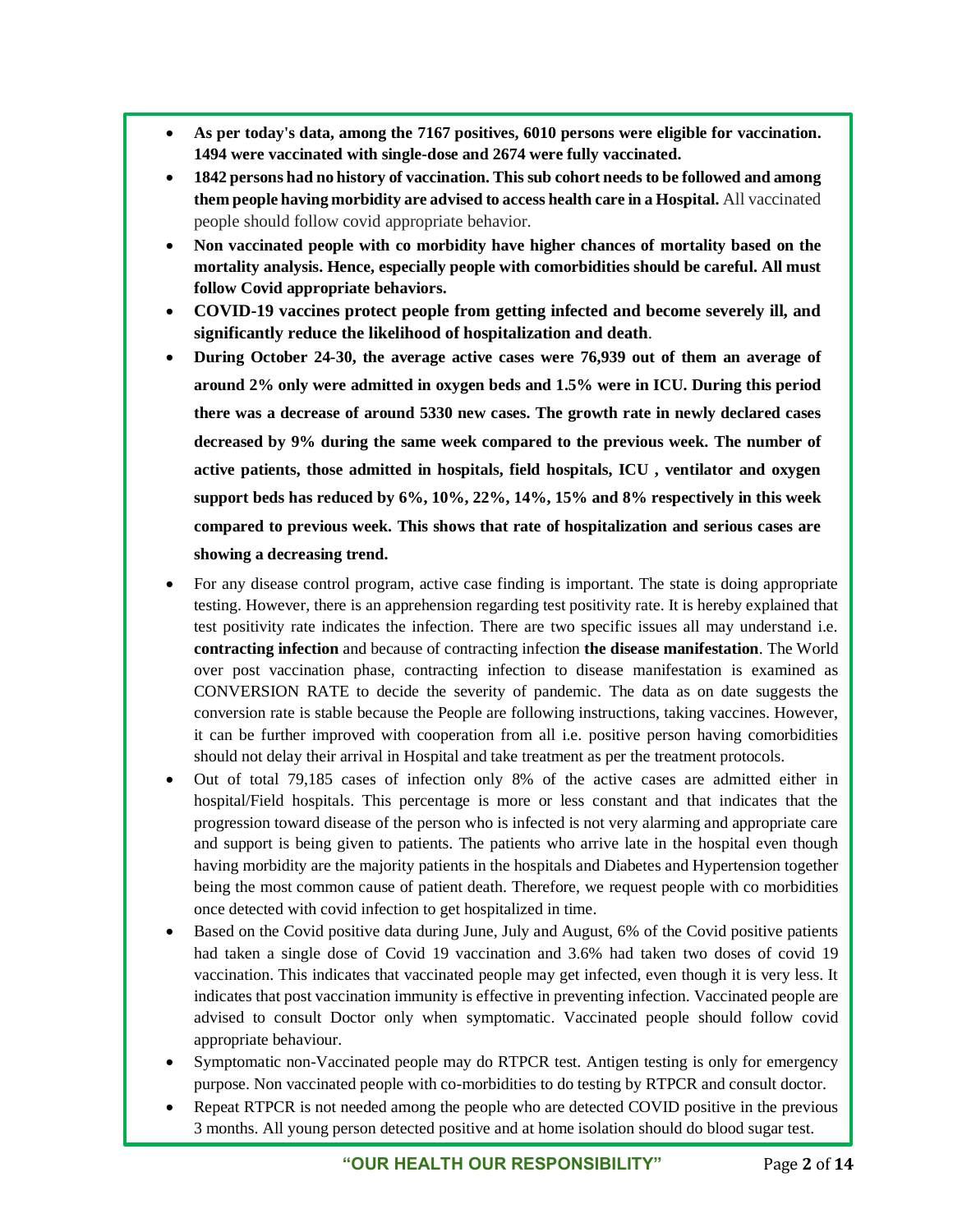- **As per today's data, among the 7167 positives, 6010 persons were eligible for vaccination. 1494 were vaccinated with single-dose and 2674 were fully vaccinated.**
- **1842 persons had no history of vaccination. This sub cohort needs to be followed and among them people having morbidity are advised to access health care in a Hospital.** All vaccinated people should follow covid appropriate behavior.
- **Non vaccinated people with co morbidity have higher chances of mortality based on the mortality analysis. Hence, especially people with comorbidities should be careful. All must follow Covid appropriate behaviors.**
- **COVID-19 vaccines protect people from getting infected and become severely ill, and significantly reduce the likelihood of hospitalization and death**.
- **During October 24-30, the average active cases were 76,939 out of them an average of around 2% only were admitted in oxygen beds and 1.5% were in ICU. During this period there was a decrease of around 5330 new cases. The growth rate in newly declared cases decreased by 9% during the same week compared to the previous week. The number of active patients, those admitted in hospitals, field hospitals, ICU , ventilator and oxygen support beds has reduced by 6%, 10%, 22%, 14%, 15% and 8% respectively in this week compared to previous week. This shows that rate of hospitalization and serious cases are showing a decreasing trend.**
- For any disease control program, active case finding is important. The state is doing appropriate testing. However, there is an apprehension regarding test positivity rate. It is hereby explained that test positivity rate indicates the infection. There are two specific issues all may understand i.e. **contracting infection** and because of contracting infection **the disease manifestation**. The World over post vaccination phase, contracting infection to disease manifestation is examined as CONVERSION RATE to decide the severity of pandemic. The data as on date suggests the conversion rate is stable because the People are following instructions, taking vaccines. However, it can be further improved with cooperation from all i.e. positive person having comorbidities should not delay their arrival in Hospital and take treatment as per the treatment protocols.
- Out of total 79,185 cases of infection only 8% of the active cases are admitted either in hospital/Field hospitals. This percentage is more or less constant and that indicates that the progression toward disease of the person who is infected is not very alarming and appropriate care and support is being given to patients. The patients who arrive late in the hospital even though having morbidity are the majority patients in the hospitals and Diabetes and Hypertension together being the most common cause of patient death. Therefore, we request people with co morbidities once detected with covid infection to get hospitalized in time.
- Based on the Covid positive data during June, July and August, 6% of the Covid positive patients had taken a single dose of Covid 19 vaccination and 3.6% had taken two doses of covid 19 vaccination. This indicates that vaccinated people may get infected, even though it is very less. It indicates that post vaccination immunity is effective in preventing infection. Vaccinated people are advised to consult Doctor only when symptomatic. Vaccinated people should follow covid appropriate behaviour.
- Symptomatic non-Vaccinated people may do RTPCR test. Antigen testing is only for emergency purpose. Non vaccinated people with co-morbidities to do testing by RTPCR and consult doctor.
- Repeat RTPCR is not needed among the people who are detected COVID positive in the previous 3 months. All young person detected positive and at home isolation should do blood sugar test.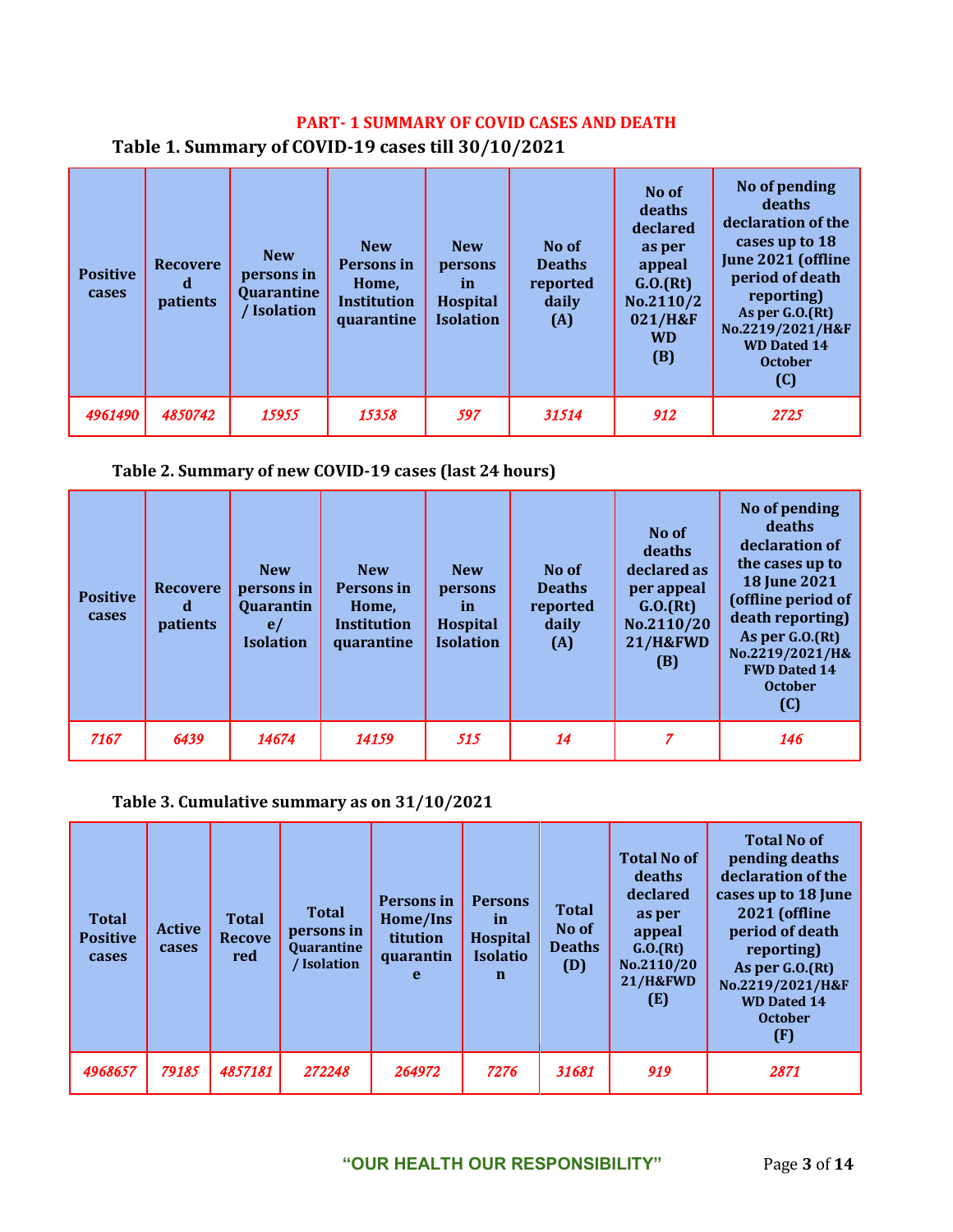### **PART- 1 SUMMARY OF COVID CASES AND DEATH**

| <b>Positive</b><br>cases | <b>Recovere</b><br>a<br>patients | <b>New</b><br>persons in<br>Quarantine<br>Isolation | <b>New</b><br>Persons in<br>Home,<br><b>Institution</b><br>quarantine | <b>New</b><br>persons<br>in<br><b>Hospital</b><br><b>Isolation</b> | No of<br><b>Deaths</b><br>reported<br>daily<br>(A) | No of<br>deaths<br>declared<br>as per<br>appeal<br>G.0.(Rt)<br>No.2110/2<br>021/H&F<br><b>WD</b><br>(B) | No of pending<br>deaths<br>declaration of the<br>cases up to 18<br>June 2021 (offline<br>period of death<br>reporting)<br>As per $G.0(Ft)$<br>No.2219/2021/H&F<br><b>WD Dated 14</b><br><b>October</b><br>(C) |
|--------------------------|----------------------------------|-----------------------------------------------------|-----------------------------------------------------------------------|--------------------------------------------------------------------|----------------------------------------------------|---------------------------------------------------------------------------------------------------------|---------------------------------------------------------------------------------------------------------------------------------------------------------------------------------------------------------------|
| 4961490                  | 4850742                          | 15955                                               | 15358                                                                 | 597                                                                | 31514                                              | 912                                                                                                     | 2725                                                                                                                                                                                                          |

**Table 1. Summary of COVID-19 cases till 30/10/2021**

#### **Table 2. Summary of new COVID-19 cases (last 24 hours)**

| <b>Positive</b><br>cases | <b>Recovere</b><br>d<br><i>patients</i> | <b>New</b><br>persons in<br>Quarantin<br>e/<br><b>Isolation</b> | <b>New</b><br>Persons in<br>Home,<br><b>Institution</b><br>quarantine | <b>New</b><br>persons<br><i>in</i><br>Hospital<br><b>Isolation</b> | No of<br><b>Deaths</b><br>reported<br>daily<br>(A) | No of<br>deaths<br>declared as<br>per appeal<br>G.0.(Rt)<br>No.2110/20<br><b>21/H&amp;FWD</b><br>(B) | No of pending<br>deaths<br>declaration of<br>the cases up to<br><b>18 June 2021</b><br>(offline period of<br>death reporting)<br>As per G.O.(Rt)<br>No.2219/2021/H&<br><b>FWD Dated 14</b><br><b>October</b><br>(C) |
|--------------------------|-----------------------------------------|-----------------------------------------------------------------|-----------------------------------------------------------------------|--------------------------------------------------------------------|----------------------------------------------------|------------------------------------------------------------------------------------------------------|---------------------------------------------------------------------------------------------------------------------------------------------------------------------------------------------------------------------|
| 7167                     | 6439                                    | 14674                                                           | 14159                                                                 | 515                                                                | 14                                                 | 7                                                                                                    | 146                                                                                                                                                                                                                 |

### **Table 3. Cumulative summary as on 31/10/2021**

| <b>Total</b><br><b>Positive</b><br>cases | <b>Active</b><br>cases | <b>Total</b><br><b>Recove</b><br>red | <b>Total</b><br>persons in<br><b>Quarantine</b><br>Isolation | Persons in<br>Home/Ins<br>titution<br>quarantin<br>$\mathbf{e}$ | <b>Persons</b><br><i>in</i><br><b>Hospital</b><br><b>Isolatio</b><br>n | <b>Total</b><br>No of<br><b>Deaths</b><br>(D) | <b>Total No of</b><br>deaths<br>declared<br>as per<br>appeal<br>G.0.(Rt)<br>No.2110/20<br><b>21/H&amp;FWD</b><br>(E) | <b>Total No of</b><br>pending deaths<br>declaration of the<br>cases up to 18 June<br>2021 (offline<br>period of death<br>reporting)<br>As per G.O.(Rt)<br>No.2219/2021/H&F<br><b>WD Dated 14</b><br><b>October</b><br>(F) |
|------------------------------------------|------------------------|--------------------------------------|--------------------------------------------------------------|-----------------------------------------------------------------|------------------------------------------------------------------------|-----------------------------------------------|----------------------------------------------------------------------------------------------------------------------|---------------------------------------------------------------------------------------------------------------------------------------------------------------------------------------------------------------------------|
| 4968657                                  | 79185                  | 4857181                              | 272248                                                       | 264972                                                          | 7276                                                                   | 31681                                         | 919                                                                                                                  | 2871                                                                                                                                                                                                                      |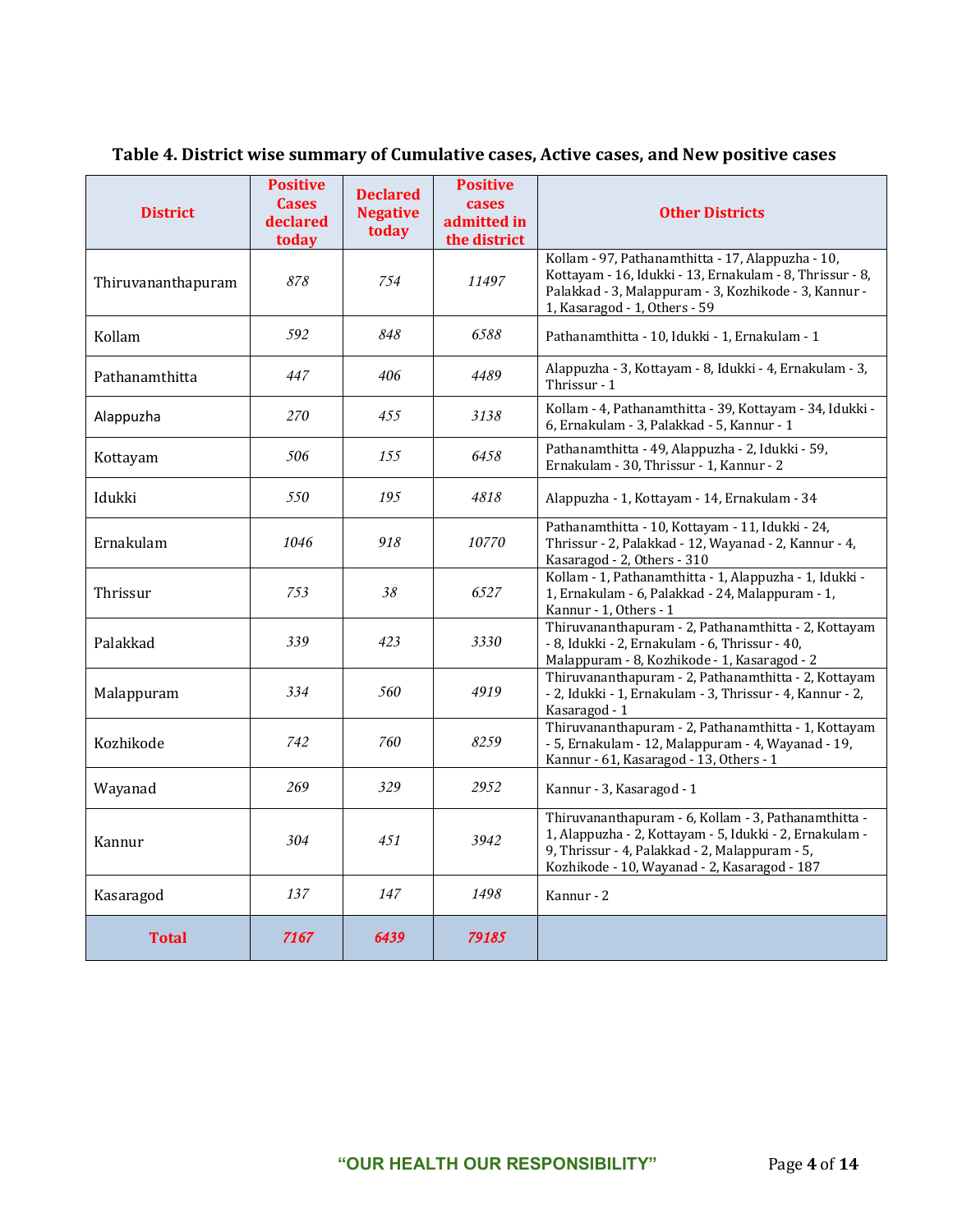| <b>District</b>    | <b>Positive</b><br><b>Cases</b><br>declared<br>today | <b>Declared</b><br><b>Negative</b><br>today | <b>Positive</b><br>cases<br>admitted in<br>the district | <b>Other Districts</b>                                                                                                                                                                                            |
|--------------------|------------------------------------------------------|---------------------------------------------|---------------------------------------------------------|-------------------------------------------------------------------------------------------------------------------------------------------------------------------------------------------------------------------|
| Thiruvananthapuram | 878                                                  | 754                                         | 11497                                                   | Kollam - 97, Pathanamthitta - 17, Alappuzha - 10,<br>Kottayam - 16, Idukki - 13, Ernakulam - 8, Thrissur - 8,<br>Palakkad - 3, Malappuram - 3, Kozhikode - 3, Kannur -<br>1, Kasaragod - 1, Others - 59           |
| Kollam             | 592                                                  | 848                                         | 6588                                                    | Pathanamthitta - 10, Idukki - 1, Ernakulam - 1                                                                                                                                                                    |
| Pathanamthitta     | 447                                                  | 406                                         | 4489                                                    | Alappuzha - 3, Kottayam - 8, Idukki - 4, Ernakulam - 3,<br>Thrissur - 1                                                                                                                                           |
| Alappuzha          | 270                                                  | 455                                         | 3138                                                    | Kollam - 4, Pathanamthitta - 39, Kottayam - 34, Idukki -<br>6, Ernakulam - 3, Palakkad - 5, Kannur - 1                                                                                                            |
| Kottayam           | 506                                                  | 155                                         | 6458                                                    | Pathanamthitta - 49, Alappuzha - 2, Idukki - 59,<br>Ernakulam - 30, Thrissur - 1, Kannur - 2                                                                                                                      |
| Idukki             | 550                                                  | 195                                         | 4818                                                    | Alappuzha - 1, Kottayam - 14, Ernakulam - 34                                                                                                                                                                      |
| Ernakulam          | 1046                                                 | 918                                         | 10770                                                   | Pathanamthitta - 10, Kottayam - 11, Idukki - 24,<br>Thrissur - 2, Palakkad - 12, Wayanad - 2, Kannur - 4,<br>Kasaragod - 2, Others - 310                                                                          |
| Thrissur           | 753                                                  | 38                                          | 6527                                                    | Kollam - 1, Pathanamthitta - 1, Alappuzha - 1, Idukki -<br>1, Ernakulam - 6, Palakkad - 24, Malappuram - 1,<br>Kannur - 1, Others - 1                                                                             |
| Palakkad           | 339                                                  | 423                                         | 3330                                                    | Thiruvananthapuram - 2, Pathanamthitta - 2, Kottayam<br>- 8, Idukki - 2, Ernakulam - 6, Thrissur - 40,<br>Malappuram - 8, Kozhikode - 1, Kasaragod - 2                                                            |
| Malappuram         | 334                                                  | 560                                         | 4919                                                    | Thiruvananthapuram - 2, Pathanamthitta - 2, Kottayam<br>- 2, Idukki - 1, Ernakulam - 3, Thrissur - 4, Kannur - 2,<br>Kasaragod - 1                                                                                |
| Kozhikode          | 742                                                  | 760                                         | 8259                                                    | Thiruvananthapuram - 2, Pathanamthitta - 1, Kottayam<br>- 5, Ernakulam - 12, Malappuram - 4, Wayanad - 19,<br>Kannur - 61, Kasaragod - 13, Others - 1                                                             |
| Wayanad            | 269                                                  | 329                                         | 2952                                                    | Kannur - 3, Kasaragod - 1                                                                                                                                                                                         |
| Kannur             | 304                                                  | 451                                         | 3942                                                    | Thiruvananthapuram - 6, Kollam - 3, Pathanamthitta -<br>1, Alappuzha - 2, Kottayam - 5, Idukki - 2, Ernakulam -<br>9, Thrissur - 4, Palakkad - 2, Malappuram - 5,<br>Kozhikode - 10, Wayanad - 2, Kasaragod - 187 |
| Kasaragod          | 137                                                  | 147                                         | 1498                                                    | Kannur - 2                                                                                                                                                                                                        |
| <b>Total</b>       | 7167                                                 | 6439                                        | 79185                                                   |                                                                                                                                                                                                                   |

## **Table 4. District wise summary of Cumulative cases, Active cases, and New positive cases**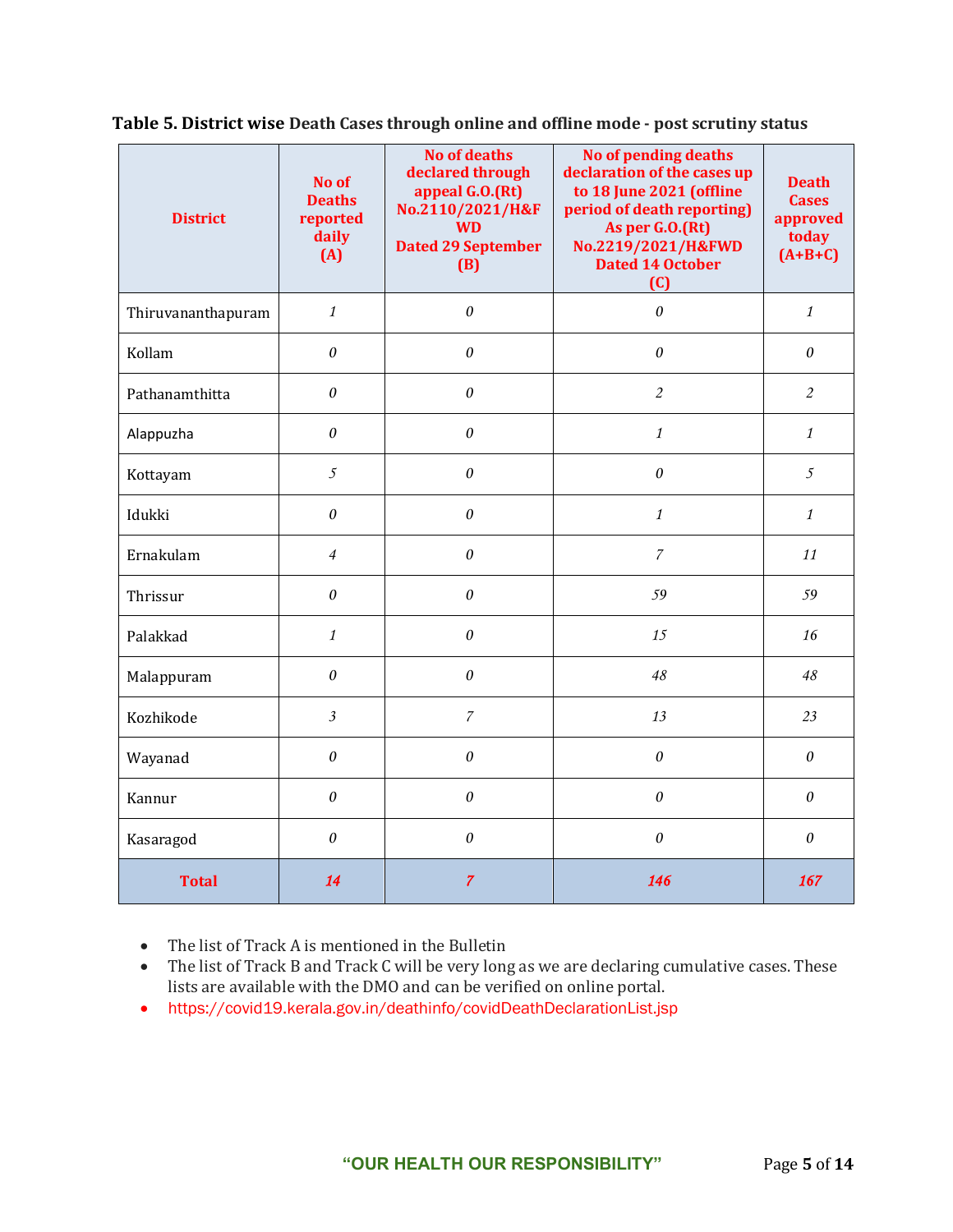| <b>District</b>    | No of<br><b>Deaths</b><br>reported<br>daily<br>(A) | <b>No of deaths</b><br>declared through<br>appeal G.O.(Rt)<br>No.2110/2021/H&F<br><b>WD</b><br><b>Dated 29 September</b><br>(B) | No of pending deaths<br>declaration of the cases up<br>to 18 June 2021 (offline<br>period of death reporting)<br>As per G.O.(Rt)<br>No.2219/2021/H&FWD<br><b>Dated 14 October</b><br>(C) | <b>Death</b><br><b>Cases</b><br>approved<br>today<br>$(A+B+C)$ |
|--------------------|----------------------------------------------------|---------------------------------------------------------------------------------------------------------------------------------|------------------------------------------------------------------------------------------------------------------------------------------------------------------------------------------|----------------------------------------------------------------|
| Thiruvananthapuram | $\mathbf{1}$                                       | $\theta$                                                                                                                        | $\boldsymbol{\theta}$                                                                                                                                                                    | $\mathcal{I}$                                                  |
| Kollam             | $\theta$                                           | $\theta$                                                                                                                        | $\theta$                                                                                                                                                                                 | $\boldsymbol{\theta}$                                          |
| Pathanamthitta     | $\boldsymbol{\mathit{0}}$                          | $\boldsymbol{\theta}$                                                                                                           | $\overline{2}$                                                                                                                                                                           | $\overline{2}$                                                 |
| Alappuzha          | $\theta$                                           | $\theta$                                                                                                                        | $\mathbf{1}$                                                                                                                                                                             | $\mathcal{I}$                                                  |
| Kottayam           | $\mathfrak{I}$                                     | $\theta$                                                                                                                        | $\theta$                                                                                                                                                                                 | 5                                                              |
| Idukki             | $\theta$                                           | 0                                                                                                                               | $\mathbf{1}$                                                                                                                                                                             | $\mathcal{I}$                                                  |
| Ernakulam          | $\overline{4}$                                     | 0                                                                                                                               | $\overline{7}$                                                                                                                                                                           | 11                                                             |
| Thrissur           | $\theta$                                           | $\theta$                                                                                                                        | 59                                                                                                                                                                                       | 59                                                             |
| Palakkad           | $\mathbf{1}$                                       | $\theta$                                                                                                                        | 15                                                                                                                                                                                       | 16                                                             |
| Malappuram         | $\theta$                                           | $\theta$                                                                                                                        | 48                                                                                                                                                                                       | 48                                                             |
| Kozhikode          | $\overline{\mathfrak{Z}}$                          | $\overline{7}$                                                                                                                  | 13                                                                                                                                                                                       | 23                                                             |
| Wayanad            | 0                                                  | $\boldsymbol{\theta}$                                                                                                           | $\theta$                                                                                                                                                                                 | $\boldsymbol{\theta}$                                          |
| Kannur             | 0                                                  | $\boldsymbol{\theta}$                                                                                                           | $\boldsymbol{\theta}$                                                                                                                                                                    | $\boldsymbol{\theta}$                                          |
| Kasaragod          | 0                                                  | $\theta$                                                                                                                        | $\theta$                                                                                                                                                                                 | $\boldsymbol{\theta}$                                          |
| <b>Total</b>       | 14                                                 | $\overline{7}$                                                                                                                  | 146                                                                                                                                                                                      | 167                                                            |

**Table 5. District wise Death Cases through online and offline mode - post scrutiny status**

• The list of Track A is mentioned in the Bulletin

- The list of Track B and Track C will be very long as we are declaring cumulative cases. These lists are available with the DMO and can be verified on online portal.
- https://covid19.kerala.gov.in/deathinfo/covidDeathDeclarationList.jsp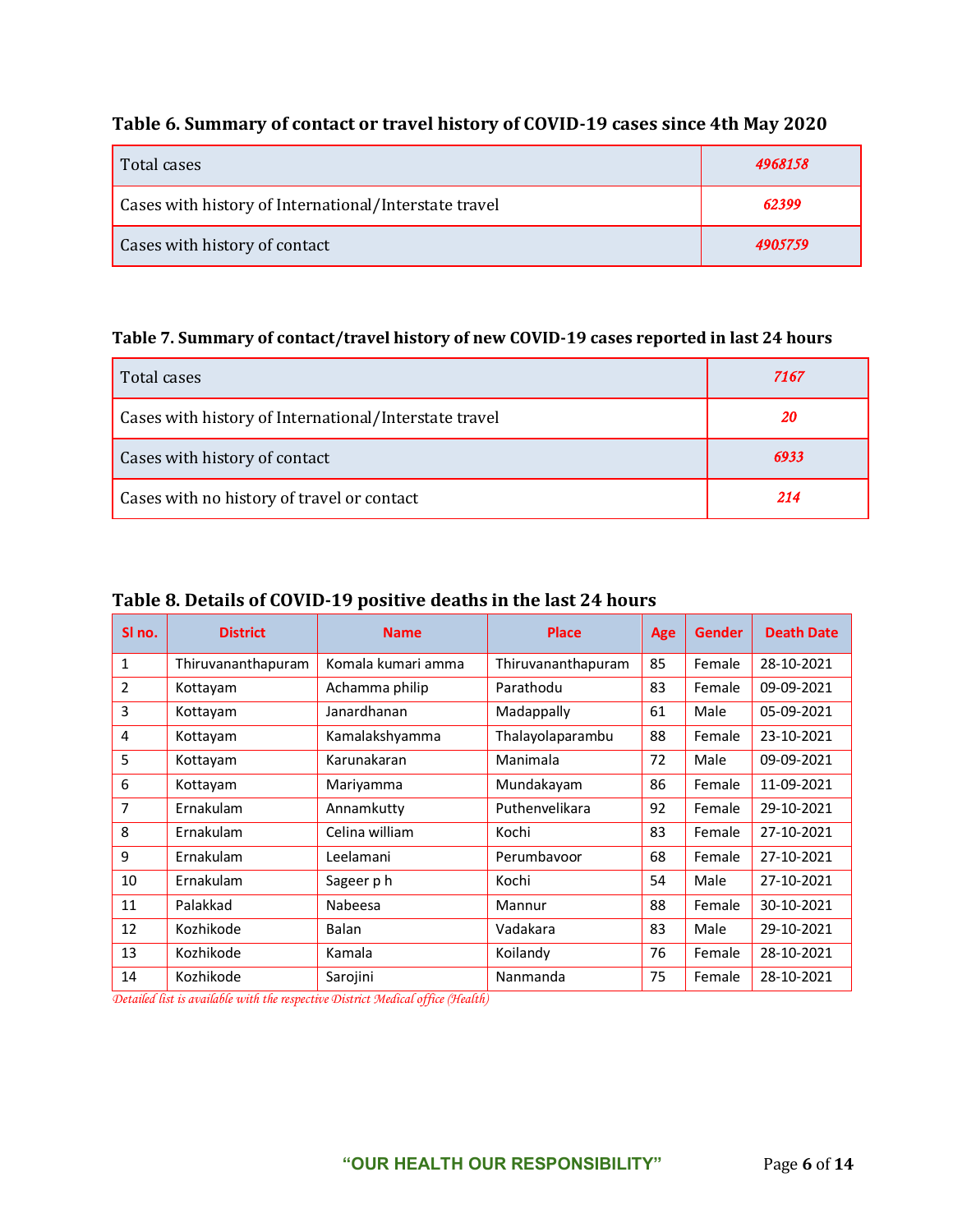## **Table 6. Summary of contact or travel history of COVID-19 cases since 4th May 2020**

| Total cases                                           | 4968158 |
|-------------------------------------------------------|---------|
| Cases with history of International/Interstate travel | 62399   |
| Cases with history of contact                         | 4905759 |

#### **Table 7. Summary of contact/travel history of new COVID-19 cases reported in last 24 hours**

| Total cases                                           | 7167 |
|-------------------------------------------------------|------|
| Cases with history of International/Interstate travel | 20   |
| Cases with history of contact                         | 6933 |
| Cases with no history of travel or contact            | 214  |

#### **Table 8. Details of COVID-19 positive deaths in the last 24 hours**

| SI no.         | <b>District</b>    | <b>Name</b>        | <b>Place</b>       | Age | <b>Gender</b> | <b>Death Date</b> |
|----------------|--------------------|--------------------|--------------------|-----|---------------|-------------------|
| $\mathbf{1}$   | Thiruvananthapuram | Komala kumari amma | Thiruvananthapuram | 85  | Female        | 28-10-2021        |
| $\overline{2}$ | Kottayam           | Achamma philip     | Parathodu          | 83  | Female        | 09-09-2021        |
| 3              | Kottayam           | Janardhanan        | Madappally         | 61  | Male          | 05-09-2021        |
| 4              | Kottayam           | Kamalakshyamma     | Thalayolaparambu   | 88  | Female        | 23-10-2021        |
| 5              | Kottayam           | Karunakaran        | Manimala           | 72  | Male          | 09-09-2021        |
| 6              | Kottayam           | Mariyamma          | Mundakayam         | 86  | Female        | 11-09-2021        |
| 7              | Ernakulam          | Annamkutty         | Puthenvelikara     | 92  | Female        | 29-10-2021        |
| 8              | Ernakulam          | Celina william     | Kochi              | 83  | Female        | 27-10-2021        |
| 9              | Ernakulam          | Leelamani          | Perumbayoor        | 68  | Female        | 27-10-2021        |
| 10             | Ernakulam          | Sageer ph          | Kochi              | 54  | Male          | 27-10-2021        |
| 11             | Palakkad           | Nabeesa            | Mannur             | 88  | Female        | 30-10-2021        |
| 12             | Kozhikode          | Balan              | Vadakara           | 83  | Male          | 29-10-2021        |
| 13             | Kozhikode          | Kamala             | Koilandy           | 76  | Female        | 28-10-2021        |
| 14             | Kozhikode          | Sarojini           | Nanmanda           | 75  | Female        | 28-10-2021        |

*Detailed list is available with the respective District Medical office (Health)*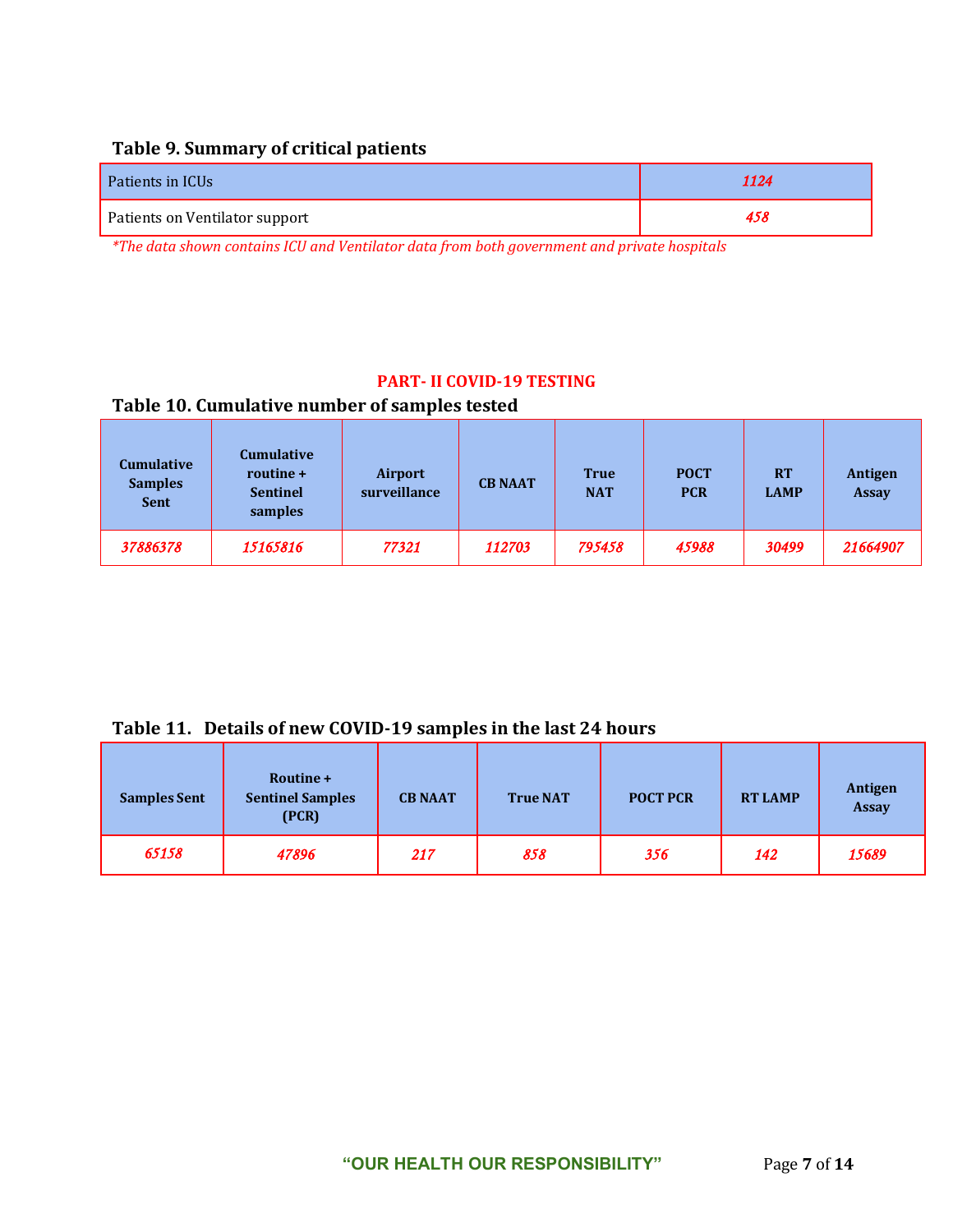### **Table 9. Summary of critical patients**

| Patients in ICUs                                                                                               | 1124 |
|----------------------------------------------------------------------------------------------------------------|------|
| Patients on Ventilator support                                                                                 | 458  |
| in the same state of the state of the state of the state of the state of the state of the state of the state o |      |

*\*The data shown contains ICU and Ventilator data from both government and private hospitals*

#### **PART- II COVID-19 TESTING**

### **Table 10. Cumulative number of samples tested**

| <b>Cumulative</b><br><b>Samples</b><br><b>Sent</b> | <b>Cumulative</b><br>routine +<br><b>Sentinel</b><br>samples | Airport<br>surveillance | <b>CB NAAT</b> | <b>True</b><br><b>NAT</b> | <b>POCT</b><br><b>PCR</b> | <b>RT</b><br><b>LAMP</b> | Antigen<br><b>Assay</b> |
|----------------------------------------------------|--------------------------------------------------------------|-------------------------|----------------|---------------------------|---------------------------|--------------------------|-------------------------|
| 37886378                                           | 15165816                                                     | 77321                   | 112703         | 795458                    | 45988                     | 30499                    | 21664907                |

#### **Table 11. Details of new COVID-19 samples in the last 24 hours**

| <b>Samples Sent</b> | Routine +<br><b>Sentinel Samples</b><br>(PCR) | <b>CB NAAT</b> | <b>True NAT</b> | <b>POCT PCR</b> | <b>RT LAMP</b> | Antigen<br><b>Assay</b> |
|---------------------|-----------------------------------------------|----------------|-----------------|-----------------|----------------|-------------------------|
| 65158               | 47896                                         | 217            | 858             | 356             | 142            | 15689                   |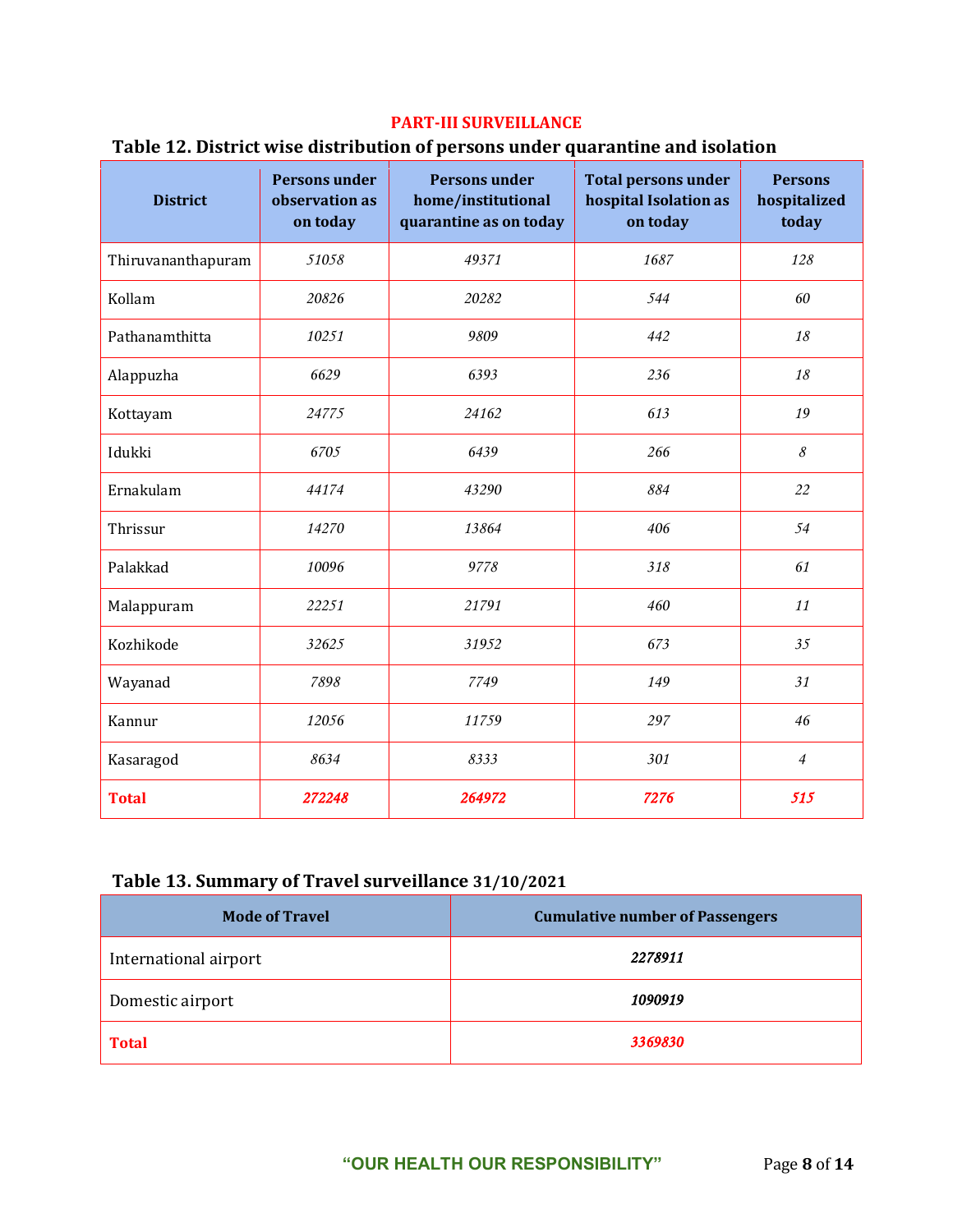#### **PART-III SURVEILLANCE**

### **Table 12. District wise distribution of persons under quarantine and isolation**

| <b>District</b>    | <b>Persons under</b><br>observation as<br>on today | <b>Persons under</b><br>home/institutional<br>quarantine as on today | <b>Total persons under</b><br>hospital Isolation as<br>on today | <b>Persons</b><br>hospitalized<br>today |
|--------------------|----------------------------------------------------|----------------------------------------------------------------------|-----------------------------------------------------------------|-----------------------------------------|
| Thiruvananthapuram | 51058                                              | 49371                                                                | 1687                                                            | 128                                     |
| Kollam             | 20826                                              | 20282                                                                | 544                                                             | 60                                      |
| Pathanamthitta     | 10251                                              | 9809                                                                 | 442                                                             | 18                                      |
| Alappuzha          | 6629                                               | 6393                                                                 | 236                                                             | 18                                      |
| Kottayam           | 24775                                              | 24162                                                                | 613                                                             | 19                                      |
| Idukki             | 6705                                               | 6439                                                                 | 266                                                             | 8                                       |
| Ernakulam          | 44174                                              | 43290                                                                | 884                                                             | 22                                      |
| Thrissur           | 14270                                              | 13864                                                                | 406                                                             | 54                                      |
| Palakkad           | 10096                                              | 9778                                                                 | 318                                                             | 61                                      |
| Malappuram         | 22251                                              | 21791                                                                | 460                                                             | 11                                      |
| Kozhikode          | 32625                                              | 31952                                                                | 673                                                             | 35                                      |
| Wayanad            | 7898                                               | 7749                                                                 | 149                                                             | 31                                      |
| Kannur             | 12056                                              | 11759                                                                | 297                                                             | 46                                      |
| Kasaragod          | 8634                                               | 8333                                                                 | 301                                                             | $\overline{4}$                          |
| <b>Total</b>       | 272248                                             | 264972                                                               | 7276                                                            | 515                                     |

## **Table 13. Summary of Travel surveillance 31/10/2021**

| <b>Mode of Travel</b> | <b>Cumulative number of Passengers</b> |
|-----------------------|----------------------------------------|
| International airport | 2278911                                |
| Domestic airport      | 1090919                                |
| <b>Total</b>          | 3369830                                |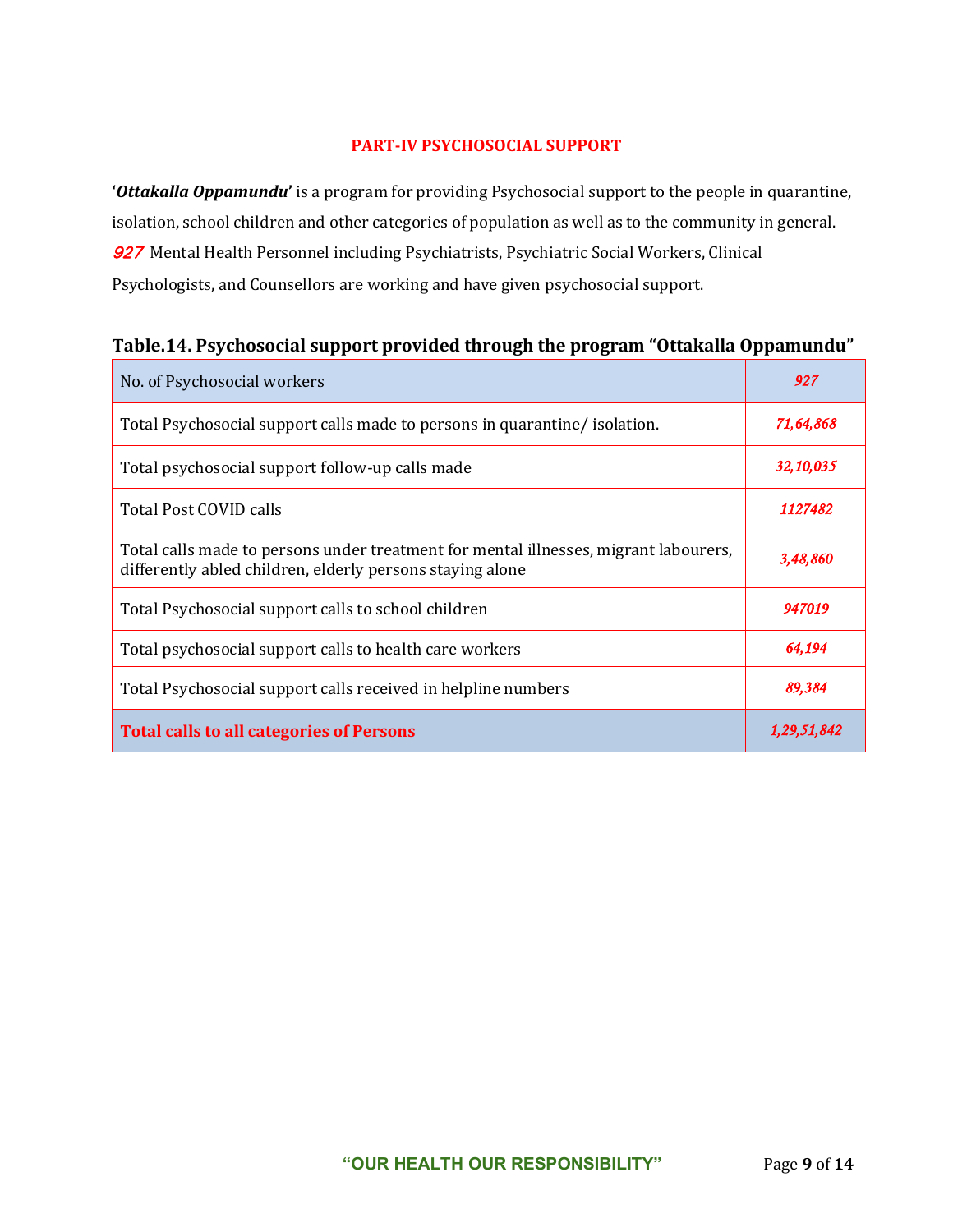#### **PART-IV PSYCHOSOCIAL SUPPORT**

**'***Ottakalla Oppamundu***'** is a program for providing Psychosocial support to the people in quarantine, isolation, school children and other categories of population as well as to the community in general. 927 Mental Health Personnel including Psychiatrists, Psychiatric Social Workers, Clinical Psychologists, and Counsellors are working and have given psychosocial support.

| No. of Psychosocial workers                                                                                                                       | 927         |
|---------------------------------------------------------------------------------------------------------------------------------------------------|-------------|
| Total Psychosocial support calls made to persons in quarantine/ isolation.                                                                        | 71,64,868   |
| Total psychosocial support follow-up calls made                                                                                                   | 32,10,035   |
| Total Post COVID calls                                                                                                                            | 1127482     |
| Total calls made to persons under treatment for mental illnesses, migrant labourers,<br>differently abled children, elderly persons staying alone | 3,48,860    |
| Total Psychosocial support calls to school children                                                                                               | 947019      |
| Total psychosocial support calls to health care workers                                                                                           | 64,194      |
| Total Psychosocial support calls received in helpline numbers                                                                                     | 89,384      |
| <b>Total calls to all categories of Persons</b>                                                                                                   | 1,29,51,842 |

## **Table.14. Psychosocial support provided through the program "Ottakalla Oppamundu"**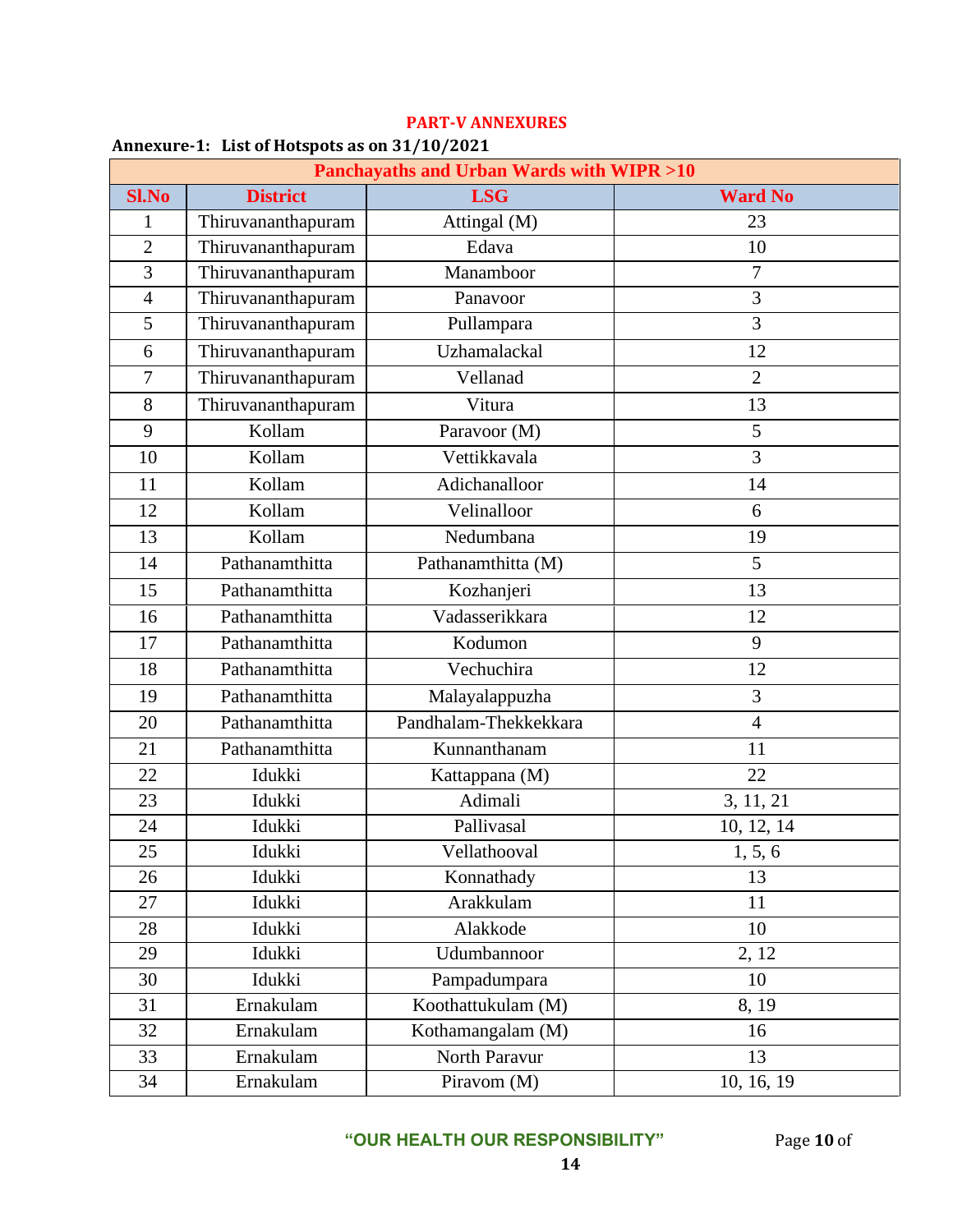| <b>Panchayaths and Urban Wards with WIPR &gt;10</b> |                    |                       |                |
|-----------------------------------------------------|--------------------|-----------------------|----------------|
| <b>Sl.No</b>                                        | <b>District</b>    | <b>LSG</b>            | <b>Ward No</b> |
| 1                                                   | Thiruvananthapuram | Attingal (M)          | 23             |
| $\overline{2}$                                      | Thiruvananthapuram | Edava                 | 10             |
| 3                                                   | Thiruvananthapuram | Manamboor             | 7              |
| $\overline{4}$                                      | Thiruvananthapuram | Panavoor              | $\overline{3}$ |
| 5                                                   | Thiruvananthapuram | Pullampara            | 3              |
| 6                                                   | Thiruvananthapuram | Uzhamalackal          | 12             |
| $\overline{7}$                                      | Thiruvananthapuram | Vellanad              | $\overline{2}$ |
| 8                                                   | Thiruvananthapuram | Vitura                | 13             |
| 9                                                   | Kollam             | Paravoor (M)          | 5              |
| 10                                                  | Kollam             | Vettikkavala          | $\overline{3}$ |
| 11                                                  | Kollam             | Adichanalloor         | 14             |
| 12                                                  | Kollam             | Velinalloor           | 6              |
| 13                                                  | Kollam             | Nedumbana             | 19             |
| 14                                                  | Pathanamthitta     | Pathanamthitta (M)    | 5              |
| 15                                                  | Pathanamthitta     | Kozhanjeri            | 13             |
| 16                                                  | Pathanamthitta     | Vadasserikkara        | 12             |
| 17                                                  | Pathanamthitta     | Kodumon               | 9              |
| 18                                                  | Pathanamthitta     | Vechuchira            | 12             |
| 19                                                  | Pathanamthitta     | Malayalappuzha        | 3              |
| 20                                                  | Pathanamthitta     | Pandhalam-Thekkekkara | $\overline{4}$ |
| 21                                                  | Pathanamthitta     | Kunnanthanam          | 11             |
| 22                                                  | Idukki             | Kattappana (M)        | 22             |
| 23                                                  | Idukki             | Adimali               | 3, 11, 21      |
| 24                                                  | Idukki             | Pallivasal            | 10, 12, 14     |
| 25                                                  | Idukki             | Vellathooval          | 1, 5, 6        |
| 26                                                  | Idukki             | Konnathady            | 13             |
| 27                                                  | Idukki             | Arakkulam             | 11             |
| 28                                                  | Idukki             | Alakkode              | 10             |
| 29                                                  | Idukki             | Udumbannoor           | 2, 12          |
| 30                                                  | Idukki             | Pampadumpara          | 10             |
| 31                                                  | Ernakulam          | Koothattukulam (M)    | 8, 19          |
| 32                                                  | Ernakulam          | Kothamangalam (M)     | 16             |
| 33                                                  | Ernakulam          | North Paravur         | 13             |
| 34                                                  | Ernakulam          | Piravom (M)           | 10, 16, 19     |

#### **PART-V ANNEXURES**

#### **Annexure-1: List of Hotspots as on 31/10/2021**

**"OUR HEALTH OUR RESPONSIBILITY"** Page **10** of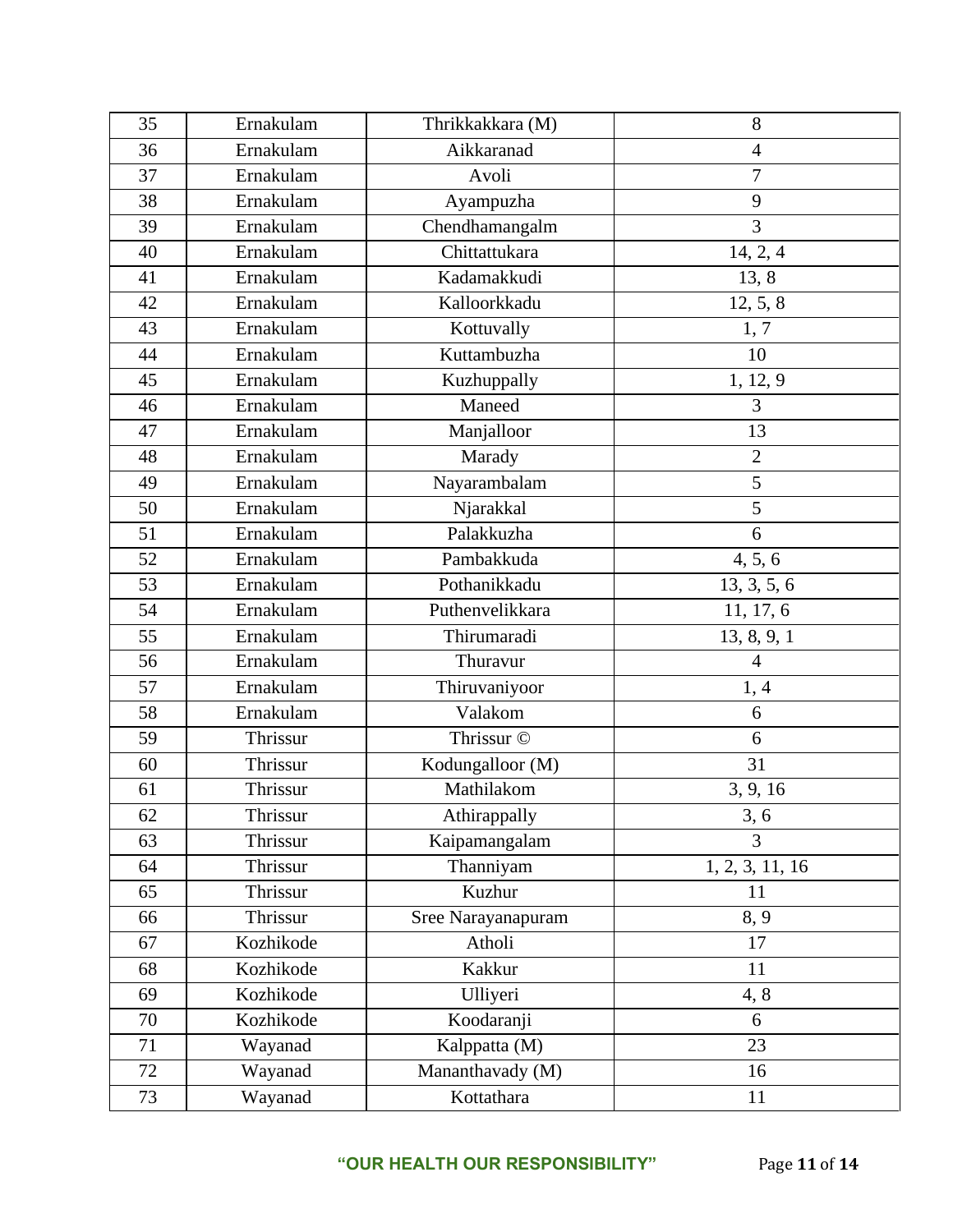| 35 | Ernakulam | Thrikkakkara (M)   | 8               |
|----|-----------|--------------------|-----------------|
| 36 | Ernakulam | Aikkaranad         | $\overline{4}$  |
| 37 | Ernakulam | Avoli              | $\overline{7}$  |
| 38 | Ernakulam | Ayampuzha          | 9               |
| 39 | Ernakulam | Chendhamangalm     | 3               |
| 40 | Ernakulam | Chittattukara      | 14, 2, 4        |
| 41 | Ernakulam | Kadamakkudi        | 13, 8           |
| 42 | Ernakulam | Kalloorkkadu       | 12, 5, 8        |
| 43 | Ernakulam | Kottuvally         | 1, 7            |
| 44 | Ernakulam | Kuttambuzha        | 10              |
| 45 | Ernakulam | Kuzhuppally        | 1, 12, 9        |
| 46 | Ernakulam | Maneed             | 3               |
| 47 | Ernakulam | Manjalloor         | 13              |
| 48 | Ernakulam | Marady             | $\overline{2}$  |
| 49 | Ernakulam | Nayarambalam       | $\overline{5}$  |
| 50 | Ernakulam | Njarakkal          | 5               |
| 51 | Ernakulam | Palakkuzha         | 6               |
| 52 | Ernakulam | Pambakkuda         | 4, 5, 6         |
| 53 | Ernakulam | Pothanikkadu       | 13, 3, 5, 6     |
| 54 | Ernakulam | Puthenvelikkara    | 11, 17, 6       |
| 55 | Ernakulam | Thirumaradi        | 13, 8, 9, 1     |
| 56 | Ernakulam | Thuravur           | $\overline{4}$  |
| 57 | Ernakulam | Thiruvaniyoor      | 1,4             |
| 58 | Ernakulam | Valakom            | 6               |
| 59 | Thrissur  | Thrissur ©         | 6               |
| 60 | Thrissur  | Kodungalloor (M)   | 31              |
| 61 | Thrissur  | Mathilakom         | 3, 9, 16        |
| 62 | Thrissur  | Athirappally       | 3, 6            |
| 63 | Thrissur  | Kaipamangalam      | $\overline{3}$  |
| 64 | Thrissur  | Thanniyam          | 1, 2, 3, 11, 16 |
| 65 | Thrissur  | Kuzhur             | 11              |
| 66 | Thrissur  | Sree Narayanapuram | 8, 9            |
| 67 | Kozhikode | Atholi             | 17              |
| 68 | Kozhikode | Kakkur             | 11              |
| 69 | Kozhikode | Ulliyeri           | 4, 8            |
| 70 | Kozhikode | Koodaranji         | 6               |
| 71 | Wayanad   | Kalppatta (M)      | 23              |
| 72 | Wayanad   | Mananthavady (M)   | 16              |
| 73 | Wayanad   | Kottathara         | 11              |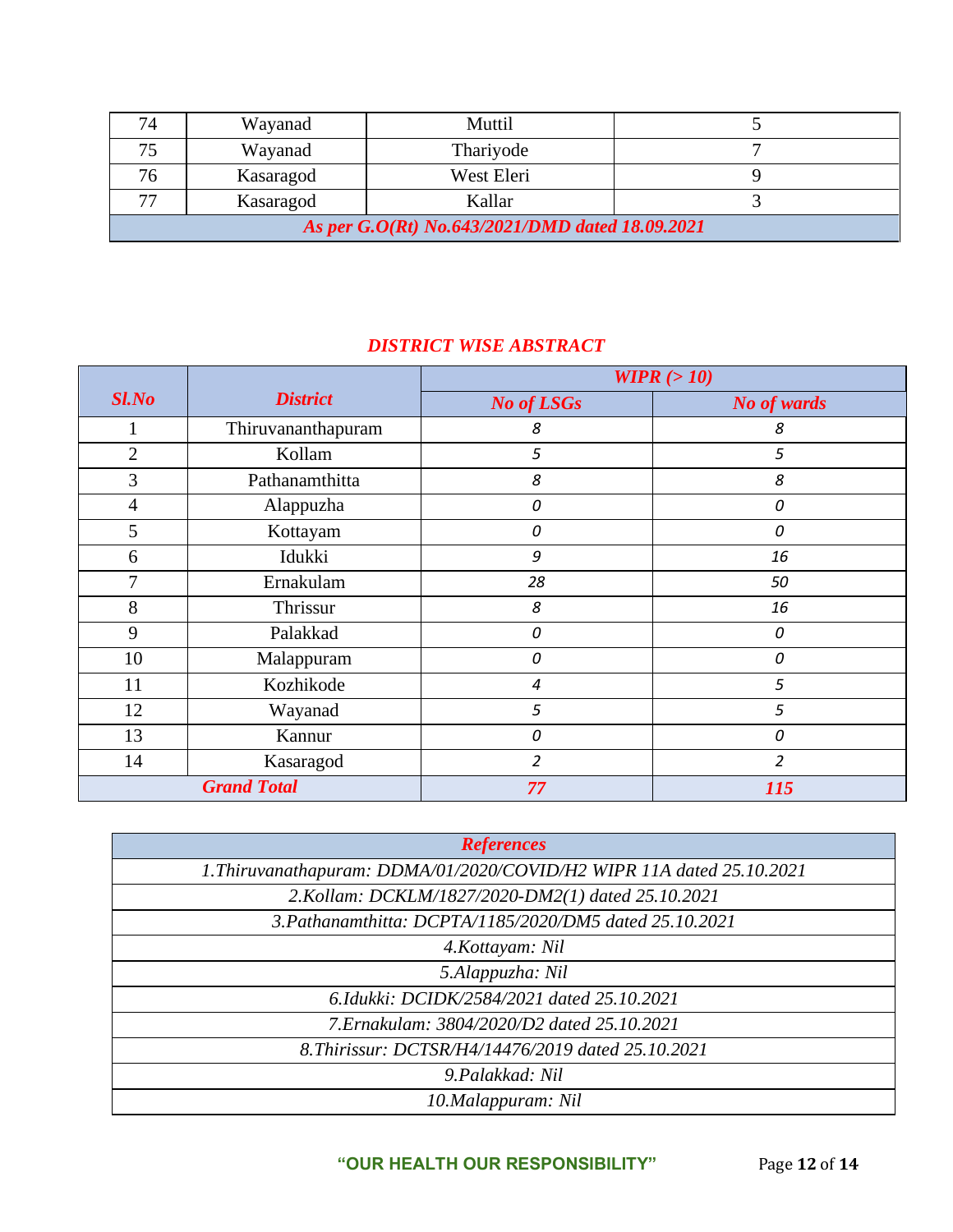| 74                                              | Wayanad   | Muttil     |  |
|-------------------------------------------------|-----------|------------|--|
| 75                                              | Wayanad   | Thariyode  |  |
| 76                                              | Kasaragod | West Eleri |  |
| 77                                              | Kasaragod | Kallar     |  |
| As per G.O(Rt) No.643/2021/DMD dated 18.09.2021 |           |            |  |

# *DISTRICT WISE ABSTRACT*

|                |                    | WIPR $(>10)$      |                |
|----------------|--------------------|-------------------|----------------|
| $Sl$ .No       | <b>District</b>    | <b>No of LSGs</b> | No of wards    |
|                | Thiruvananthapuram | 8                 | 8              |
| $\overline{2}$ | Kollam             | 5                 | 5              |
| 3              | Pathanamthitta     | 8                 | 8              |
| $\overline{4}$ | Alappuzha          | 0                 | 0              |
| 5              | Kottayam           | 0                 | 0              |
| 6              | Idukki             | 9                 | 16             |
| 7              | Ernakulam          | 28                | 50             |
| 8              | Thrissur           | 8                 | 16             |
| 9              | Palakkad           | 0                 | 0              |
| 10             | Malappuram         | 0                 | 0              |
| 11             | Kozhikode          | 4                 | 5              |
| 12             | Wayanad            | 5                 | 5              |
| 13             | Kannur             | 0                 | 0              |
| 14             | Kasaragod          | $\overline{2}$    | $\overline{2}$ |
|                | <b>Grand Total</b> | 77                | 115            |

| <b>References</b>                                                     |
|-----------------------------------------------------------------------|
| 1. Thiruvanathapuram: DDMA/01/2020/COVID/H2 WIPR 11A dated 25.10.2021 |
| 2. Kollam: DCKLM/1827/2020-DM2(1) dated 25.10.2021                    |
| 3. Pathanamthitta: DCPTA/1185/2020/DM5 dated 25.10.2021               |
| 4. Kottayam: Nil                                                      |
| 5.Alappuzha: Nil                                                      |
| 6.Idukki: DCIDK/2584/2021 dated 25.10.2021                            |
| 7. Ernakulam: 3804/2020/D2 dated 25.10.2021                           |
| 8. Thirissur: DCTSR/H4/14476/2019 dated 25.10.2021                    |
| 9. Palakkad: Nil                                                      |
| 10.Malappuram: Nil                                                    |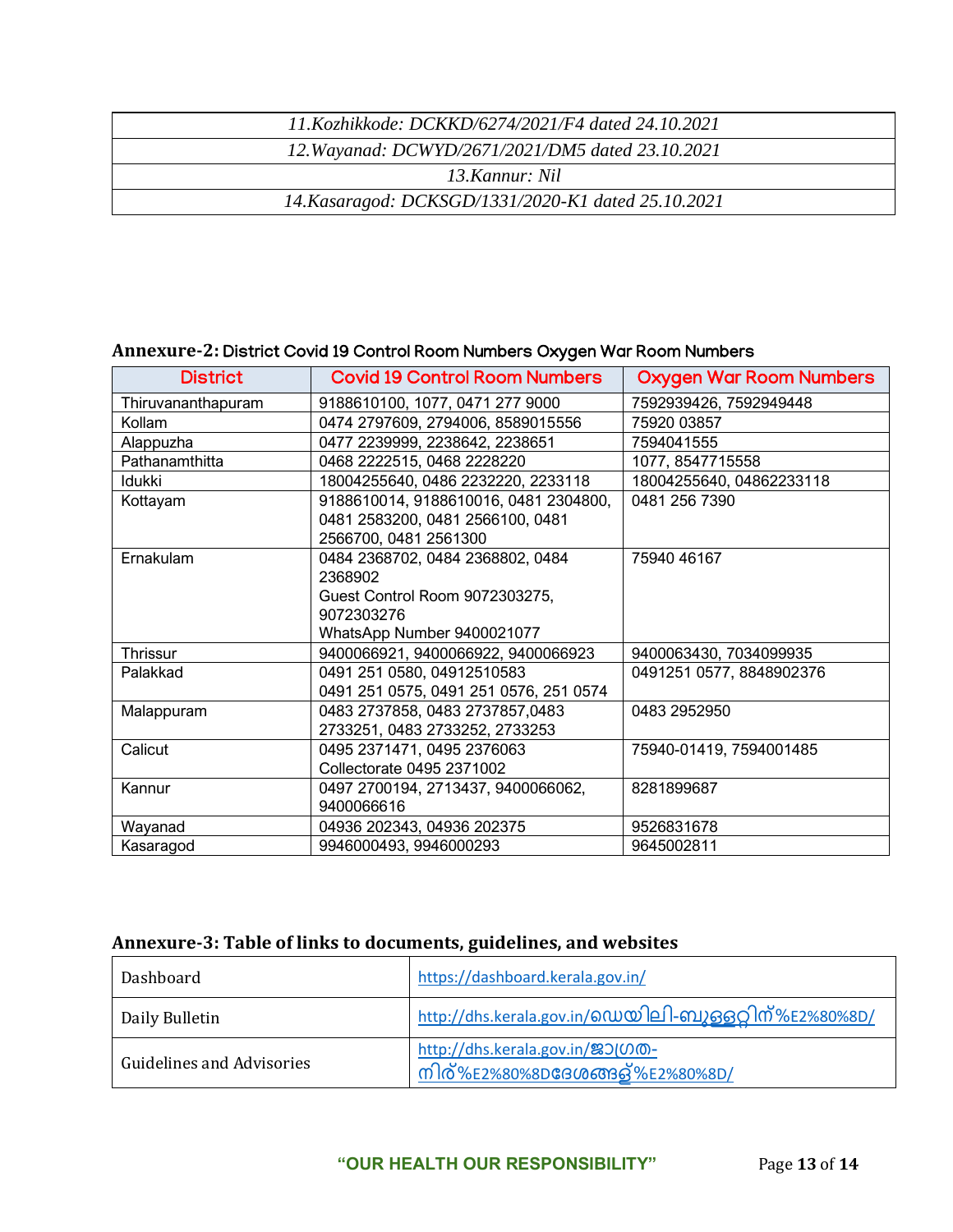| 11.Kozhikkode: DCKKD/6274/2021/F4 dated 24.10.2021  |  |
|-----------------------------------------------------|--|
| 12. Wayanad: DCWYD/2671/2021/DM5 dated 23.10.2021   |  |
| 13 Kannur: Nil                                      |  |
| 14. Kasaragod: DCKSGD/1331/2020-K1 dated 25.10.2021 |  |

### **Annexure-2:** District Covid 19 Control Room Numbers Oxygen War Room Numbers

| <b>District</b>    | <b>Covid 19 Control Room Numbers</b>   | <b>Oxygen War Room Numbers</b> |
|--------------------|----------------------------------------|--------------------------------|
| Thiruvananthapuram | 9188610100, 1077, 0471 277 9000        | 7592939426, 7592949448         |
| Kollam             | 0474 2797609, 2794006, 8589015556      | 75920 03857                    |
| Alappuzha          | 0477 2239999, 2238642, 2238651         | 7594041555                     |
| Pathanamthitta     | 0468 2222515, 0468 2228220             | 1077, 8547715558               |
| Idukki             | 18004255640, 0486 2232220, 2233118     | 18004255640, 04862233118       |
| Kottayam           | 9188610014, 9188610016, 0481 2304800,  | 0481 256 7390                  |
|                    | 0481 2583200, 0481 2566100, 0481       |                                |
|                    | 2566700, 0481 2561300                  |                                |
| Ernakulam          | 0484 2368702, 0484 2368802, 0484       | 75940 46167                    |
|                    | 2368902                                |                                |
|                    | Guest Control Room 9072303275,         |                                |
|                    | 9072303276                             |                                |
|                    | WhatsApp Number 9400021077             |                                |
| Thrissur           | 9400066921, 9400066922, 9400066923     | 9400063430, 7034099935         |
| Palakkad           | 0491 251 0580, 04912510583             | 0491251 0577, 8848902376       |
|                    | 0491 251 0575, 0491 251 0576, 251 0574 |                                |
| Malappuram         | 0483 2737858, 0483 2737857,0483        | 0483 2952950                   |
|                    | 2733251, 0483 2733252, 2733253         |                                |
| Calicut            | 0495 2371471, 0495 2376063             | 75940-01419, 7594001485        |
|                    | Collectorate 0495 2371002              |                                |
| Kannur             | 0497 2700194, 2713437, 9400066062,     | 8281899687                     |
|                    | 9400066616                             |                                |
| Wayanad            | 04936 202343, 04936 202375             | 9526831678                     |
| Kasaragod          | 9946000493, 9946000293                 | 9645002811                     |

## **Annexure-3: Table of links to documents, guidelines, and websites**

| Dashboard                        | https://dashboard.kerala.gov.in/                                            |
|----------------------------------|-----------------------------------------------------------------------------|
| Daily Bulletin                   | http://dhs.kerala.gov.in/0 ഡയിലി-ബുള്ളറ്റിന്%E2%80%8D/                      |
| <b>Guidelines and Advisories</b> | http://dhs.kerala.gov.in/231000-<br>നിര്%E2%80%8D <b>ദേശങ്ങള്%E2%80%8D/</b> |